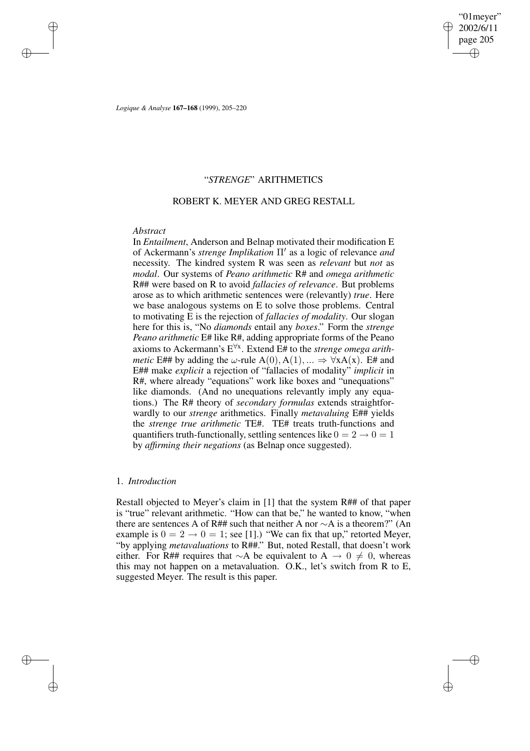✐

✐

*Logique & Analyse* **167–168** (1999), 205–220

## "*STRENGE*" ARITHMETICS

### ROBERT K. MEYER AND GREG RESTALL

### *Abstract*

✐

✐

✐

✐

In *Entailment*, Anderson and Belnap motivated their modification E of Ackermann's *strenge Implikation* Π' as a logic of relevance *and* necessity. The kindred system R was seen as *relevant* but *not* as *modal*. Our systems of *Peano arithmetic* R# and *omega arithmetic* R## were based on R to avoid *fallacies of relevance*. But problems arose as to which arithmetic sentences were (relevantly) *true*. Here we base analogous systems on E to solve those problems. Central to motivating E is the rejection of *fallacies of modality*. Our slogan here for this is, "No *diamonds* entail any *boxes*." Form the *strenge Peano arithmetic* E# like R#, adding appropriate forms of the Peano axioms to Ackermann's E ∀x . Extend E# to the *strenge omega arithmetic* E## by adding the  $\omega$ -rule A(0), A(1), ...  $\Rightarrow \forall x A(x)$ . E# and E## make *explicit* a rejection of "fallacies of modality" *implicit* in R#, where already "equations" work like boxes and "unequations" like diamonds. (And no unequations relevantly imply any equations.) The R# theory of *secondary formulas* extends straightforwardly to our *strenge* arithmetics. Finally *metavaluing* E## yields the *strenge true arithmetic* TE#. TE# treats truth-functions and quantifiers truth-functionally, settling sentences like  $0 = 2 \rightarrow 0 = 1$ by *affirming their negations* (as Belnap once suggested).

### 1. *Introduction*

Restall objected to Meyer's claim in [1] that the system R## of that paper is "true" relevant arithmetic. "How can that be," he wanted to know, "when there are sentences A of R## such that neither A nor ∼A is a theorem?" (An example is  $0 = 2 \rightarrow 0 = 1$ ; see [1].) "We can fix that up," retorted Meyer, "by applying *metavaluations* to R##." But, noted Restall, that doesn't work either. For R## requires that ∼A be equivalent to A  $\rightarrow$  0  $\neq$  0, whereas this may not happen on a metavaluation. O.K., let's switch from R to E, suggested Meyer. The result is this paper.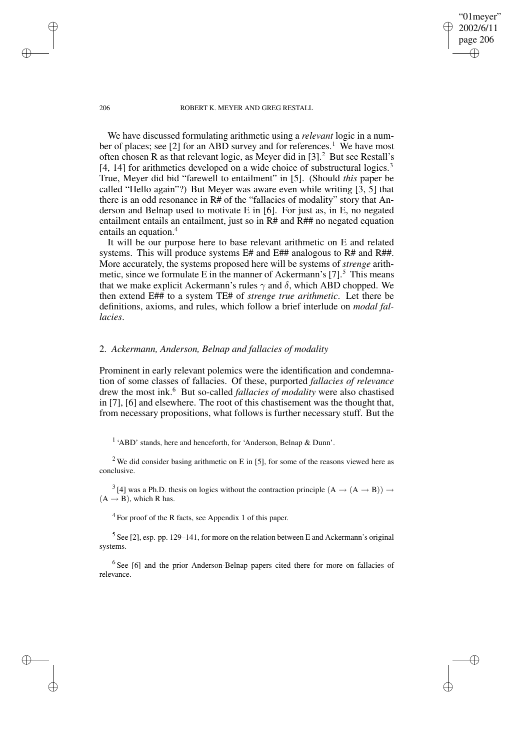"01meyer" 2002/6/11 page 206

✐

✐

✐

✐

We have discussed formulating arithmetic using a *relevant* logic in a number of places; see [2] for an ABD survey and for references.<sup>1</sup> We have most often chosen R as that relevant logic, as Meyer did in [3].<sup>2</sup> But see Restall's [4, 14] for arithmetics developed on a wide choice of substructural logics.<sup>3</sup> True, Meyer did bid "farewell to entailment" in [5]. (Should *this* paper be called "Hello again"?) But Meyer was aware even while writing  $\overline{3}$ ,  $\overline{5}$ ] that there is an odd resonance in R# of the "fallacies of modality" story that Anderson and Belnap used to motivate E in [6]. For just as, in E, no negated entailment entails an entailment, just so in  $R#$  and  $R##$  no negated equation entails an equation.<sup>4</sup>

It will be our purpose here to base relevant arithmetic on E and related systems. This will produce systems E# and E## analogous to R# and R##. More accurately, the systems proposed here will be systems of *strenge* arithmetic, since we formulate E in the manner of Ackermann's  $[7]$ <sup>5</sup>. This means that we make explicit Ackermann's rules  $\gamma$  and  $\delta$ , which ABD chopped. We then extend E## to a system TE# of *strenge true arithmetic*. Let there be definitions, axioms, and rules, which follow a brief interlude on *modal fallacies*.

### 2. *Ackermann, Anderson, Belnap and fallacies of modality*

Prominent in early relevant polemics were the identification and condemnation of some classes of fallacies. Of these, purported *fallacies of relevance* drew the most ink.<sup>6</sup> But so-called *fallacies of modality* were also chastised in [7], [6] and elsewhere. The root of this chastisement was the thought that, from necessary propositions, what follows is further necessary stuff. But the

<sup>1</sup> 'ABD' stands, here and henceforth, for 'Anderson, Belnap & Dunn'.

<sup>2</sup> We did consider basing arithmetic on E in [5], for some of the reasons viewed here as conclusive.

<sup>3</sup> [4] was a Ph.D. thesis on logics without the contraction principle  $(A \rightarrow (A \rightarrow B)) \rightarrow$  $(A \rightarrow B)$ , which R has.

<sup>4</sup> For proof of the R facts, see Appendix 1 of this paper.

 $<sup>5</sup>$  See [2], esp. pp. 129–141, for more on the relation between E and Ackermann's original</sup> systems.

<sup>6</sup> See [6] and the prior Anderson-Belnap papers cited there for more on fallacies of relevance.

✐

✐

✐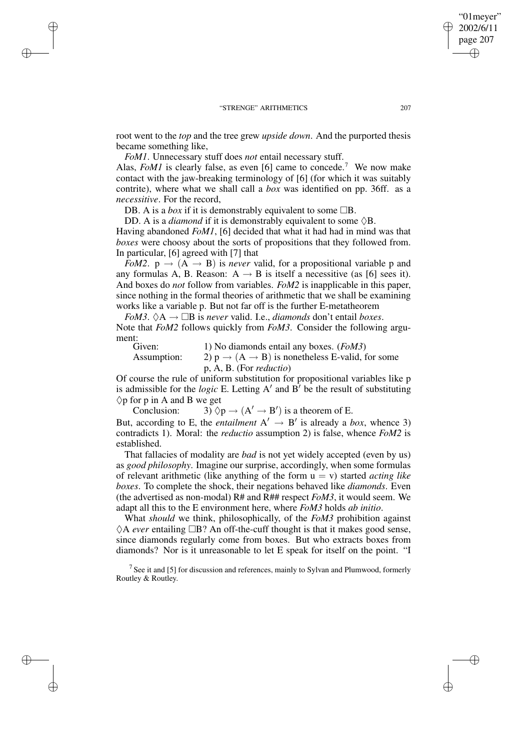root went to the *top* and the tree grew *upside down*. And the purported thesis became something like,

*FoM1*. Unnecessary stuff does *not* entail necessary stuff. Alas, *FoM1* is clearly false, as even [6] came to concede.<sup>7</sup> We now make contact with the jaw-breaking terminology of [6] (for which it was suitably contrite), where what we shall call a *box* was identified on pp. 36ff. as a *necessitive*. For the record,

DB. A is a *box* if it is demonstrably equivalent to some  $\Box B$ .

✐

✐

✐

✐

DD. A is a *diamond* if it is demonstrably equivalent to some  $\Diamond B$ . Having abandoned *FoM1*, [6] decided that what it had had in mind was that *boxes* were choosy about the sorts of propositions that they followed from. In particular, [6] agreed with [7] that

*FoM2*.  $p \rightarrow (A \rightarrow B)$  is *never* valid, for a propositional variable p and any formulas A, B. Reason:  $A \rightarrow B$  is itself a necessitive (as [6] sees it). And boxes do *not* follow from variables. *FoM2* is inapplicable in this paper, since nothing in the formal theories of arithmetic that we shall be examining works like a variable p. But not far off is the further E-metatheorem

*FoM3.*  $\Diamond A \rightarrow \Box B$  *is never* valid. I.e., *diamonds* don't entail *boxes*. Note that *FoM2* follows quickly from *FoM3*. Consider the following argument:

| Given:      | 1) No diamonds entail any boxes. (FoM3)                               |
|-------------|-----------------------------------------------------------------------|
| Assumption: | 2) $p \rightarrow (A \rightarrow B)$ is nonetheless E-valid, for some |
|             | $p, A, B.$ (For <i>reductio</i> )                                     |

Of course the rule of uniform substitution for propositional variables like p is admissible for the *logic* E. Letting  $A'$  and  $B'$  be the result of substituting  $\Diamond p$  for p in A and B we get

Conclusion:  $3 \lor p \rightarrow (A' \rightarrow B')$  is a theorem of E. But, according to E, the *entailment*  $A' \rightarrow B'$  is already a *box*, whence 3) contradicts 1). Moral: the *reductio* assumption 2) is false, whence *FoM2* is established.

That fallacies of modality are *bad* is not yet widely accepted (even by us) as *good philosophy*. Imagine our surprise, accordingly, when some formulas of relevant arithmetic (like anything of the form  $u = v$ ) started *acting like boxes*. To complete the shock, their negations behaved like *diamonds*. Even (the advertised as non-modal) R# and R## respect *FoM3*, it would seem. We adapt all this to the E environment here, where *FoM3* holds *ab initio*.

What *should* we think, philosophically, of the *FoM3* prohibition against  $\Diamond A$  *ever* entailing  $\Box B$ ? An off-the-cuff thought is that it makes good sense, since diamonds regularly come from boxes. But who extracts boxes from diamonds? Nor is it unreasonable to let E speak for itself on the point. "I

<sup>7</sup> See it and [5] for discussion and references, mainly to Sylvan and Plumwood, formerly Routley & Routley.

"01meyer" 2002/6/11 page 207

✐

✐

✐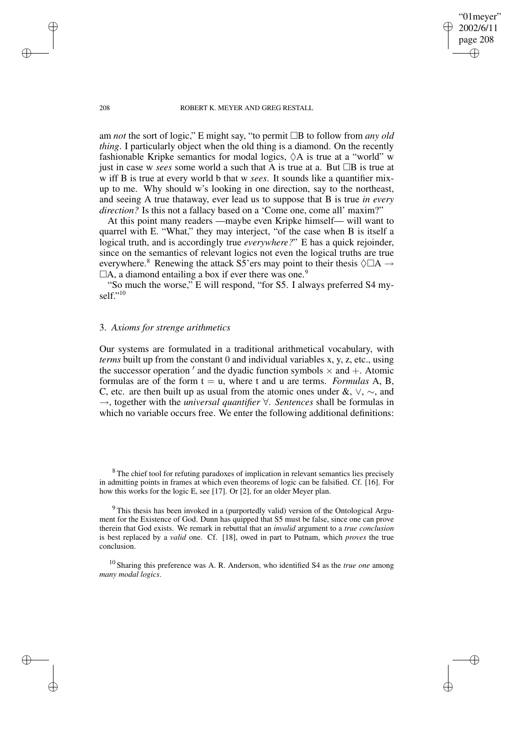"01meyer" 2002/6/11 page 208

✐

✐

✐

✐

am *not* the sort of logic," E might say, "to permit  $\Box B$  to follow from *any old thing*. I particularly object when the old thing is a diamond. On the recently fashionable Kripke semantics for modal logics,  $\Diamond A$  is true at a "world" w just in case w *sees* some world a such that A is true at a. But  $\Box B$  is true at w iff B is true at every world b that w *sees*. It sounds like a quantifier mixup to me. Why should w's looking in one direction, say to the northeast, and seeing A true thataway, ever lead us to suppose that B is true *in every direction?* Is this not a fallacy based on a 'Come one, come all' maxim?"

At this point many readers —maybe even Kripke himself— will want to quarrel with E. "What," they may interject, "of the case when B is itself a logical truth, and is accordingly true *everywhere?*" E has a quick rejoinder, since on the semantics of relevant logics not even the logical truths are true everywhere.<sup>8</sup> Renewing the attack S5'ers may point to their thesis  $\Diamond \Box A \rightarrow$  $\Box A$ , a diamond entailing a box if ever there was one.<sup>9</sup>

"So much the worse," E will respond, "for S5. I always preferred S4 myself." 10

## 3. *Axioms for strenge arithmetics*

Our systems are formulated in a traditional arithmetical vocabulary, with *terms* built up from the constant 0 and individual variables x, y, z, etc., using the successor operation ' and the dyadic function symbols  $\times$  and  $+$ . Atomic formulas are of the form  $t = u$ , where t and u are terms. *Formulas* A, B, C, etc. are then built up as usual from the atomic ones under &,  $\vee$ ,  $\sim$ , and →, together with the *universal quantifier* ∀. *Sentences* shall be formulas in which no variable occurs free. We enter the following additional definitions:

✐

✐

✐

<sup>&</sup>lt;sup>8</sup> The chief tool for refuting paradoxes of implication in relevant semantics lies precisely in admitting points in frames at which even theorems of logic can be falsified. Cf. [16]. For how this works for the logic E, see [17]. Or [2], for an older Meyer plan.

<sup>&</sup>lt;sup>9</sup> This thesis has been invoked in a (purportedly valid) version of the Ontological Argument for the Existence of God. Dunn has quipped that S5 must be false, since one can prove therein that God exists. We remark in rebuttal that an *invalid* argument to a *true conclusion* is best replaced by a *valid* one. Cf. [18], owed in part to Putnam, which *proves* the true conclusion.

<sup>10</sup> Sharing this preference was A. R. Anderson, who identified S4 as the *true one* among *many modal logics*.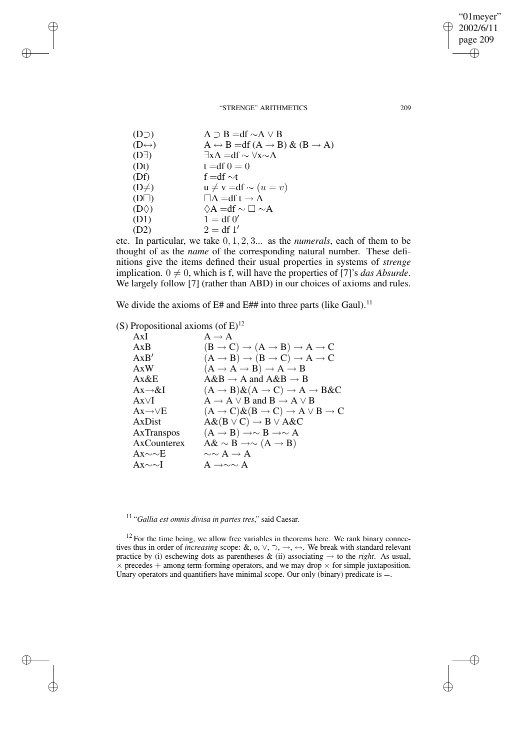| (D <sub>D</sub> )     | $A \supset B = df \sim A \vee B$                                  |
|-----------------------|-------------------------------------------------------------------|
| $(D \leftrightarrow)$ | $A \leftrightarrow B = df (A \rightarrow B) \& (B \rightarrow A)$ |
| $(D\exists)$          | $\exists x A = df \sim \forall x \sim A$                          |
| (Dt)                  | $t = df 0 = 0$                                                    |
| (Df)                  | f = df $\sim t$                                                   |
| $(D\neq)$             | $u \neq v = df \sim (u = v)$                                      |
| $(D\square)$          | $\Box A = df t \rightarrow A$                                     |
| $(D\Diamond)$         | $\Diamond A = df \sim \Box \sim A$                                |
| (D1)                  | $1 = df 0'$                                                       |
| (D2)                  | $2 = df 1'$                                                       |

etc. In particular, we take 0, 1, 2, 3... as the *numerals*, each of them to be thought of as the *name* of the corresponding natural number. These definitions give the items defined their usual properties in systems of *strenge* implication.  $0 \neq 0$ , which is f, will have the properties of [7]'s *das Absurde*. We largely follow [7] (rather than ABD) in our choices of axioms and rules.

We divide the axioms of  $E#$  and  $E#$  into three parts (like Gaul).<sup>11</sup>

(S) Propositional axioms (of  $E^{12}$ 

✐

✐

✐

✐

| AxI                     | $A \rightarrow A$                                                             |
|-------------------------|-------------------------------------------------------------------------------|
| AxB                     | $(B \to C) \to (A \to B) \to A \to C$                                         |
| AxB'                    | $(A \rightarrow B) \rightarrow (B \rightarrow C) \rightarrow A \rightarrow C$ |
| A x W                   | $(A \rightarrow A \rightarrow B) \rightarrow A \rightarrow B$                 |
| Ax&E                    | $A\&B \rightarrow A$ and $A\&B \rightarrow B$                                 |
| $Ax \rightarrow & I$    | $(A \rightarrow B) \& (A \rightarrow C) \rightarrow A \rightarrow B \& C$     |
| $Ax\vee I$              | $A \rightarrow A \vee B$ and $B \rightarrow A \vee B$                         |
| $Ax \rightarrow \vee E$ | $(A \rightarrow C) \& (B \rightarrow C) \rightarrow A \vee B \rightarrow C$   |
| AxDist                  | $A\&(B\vee C)\rightarrow B\vee A\&C$                                          |
| AxTranspos              | $(A \rightarrow B) \rightarrow \sim B \rightarrow \sim A$                     |
| AxCounterex             | $A\& \sim B \rightarrow \sim (A \rightarrow B)$                               |
| $Ax \sim E$             | $\sim \sim A \rightarrow A$                                                   |
| $Ax \sim U$             | A $\rightarrow \sim \sim A$                                                   |

11 "*Gallia est omnis divisa in partes tres*," said Caesar.

 $12$  For the time being, we allow free variables in theorems here. We rank binary connectives thus in order of *increasing* scope: &, o, ∨, ⊃, →, ↔. We break with standard relevant practice by (i) eschewing dots as parentheses  $\&$  (ii) associating  $\rightarrow$  to the *right*. As usual,  $\times$  precedes + among term-forming operators, and we may drop  $\times$  for simple juxtaposition. Unary operators and quantifiers have minimal scope. Our only (binary) predicate is  $=$ .

"01meyer" 2002/6/11 page 209

✐

✐

 $\bigoplus$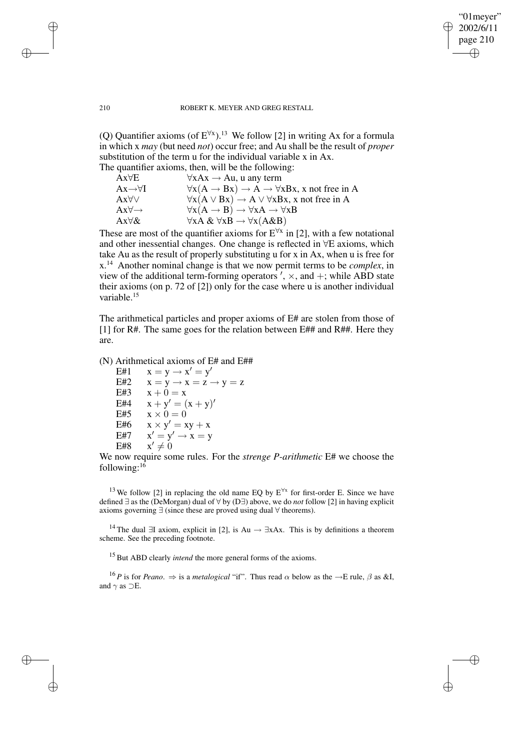### "01meyer" 2002/6/11 page 210 ✐ ✐

✐

✐

#### 210 ROBERT K. MEYER AND GREG RESTALL

(Q) Quantifier axioms (of  $E^{\forall x}$ ).<sup>13</sup> We follow [2] in writing Ax for a formula in which x *may* (but need *not*) occur free; and Au shall be the result of *proper* substitution of the term u for the individual variable x in Ax. The quantifier axioms, then, will be the following:

|                            | $\sim$ q weakness will change within $\sim$ 111 c $\sim$ 111 c $\sim$ 111 c $\sim$ 111 c $\sim$ |
|----------------------------|-------------------------------------------------------------------------------------------------|
| $Ax\forall E$              | $\forall$ xAx $\rightarrow$ Au, u any term                                                      |
| $Ax \rightarrow \forall I$ | $\forall x(A \rightarrow Bx) \rightarrow A \rightarrow \forall xBx$ , x not free in A           |
| $Ax\forall\forall$         | $\forall x(A \lor Bx) \rightarrow A \lor \forall xBx$ , x not free in A                         |
| $Ax\forall \rightarrow$    | $\forall x(A \rightarrow B) \rightarrow \forall xA \rightarrow \forall xB$                      |
| $Ax\forall \&$             | $\forall x A \& \forall x B \rightarrow \forall x (A \& B)$                                     |
|                            |                                                                                                 |

These are most of the quantifier axioms for  $E^{\forall x}$  in [2], with a few notational and other inessential changes. One change is reflected in ∀E axioms, which take Au as the result of properly substituting u for x in Ax, when u is free for x.<sup>14</sup> Another nominal change is that we now permit terms to be *complex*, in view of the additional term-forming operators  $\prime$ ,  $\times$ , and  $+$ ; while ABD state their axioms (on p. 72 of [2]) only for the case where u is another individual variable.<sup>15</sup>

The arithmetical particles and proper axioms of E# are stolen from those of [1] for R#. The same goes for the relation between E## and R##. Here they are.

## (N) Arithmetical axioms of E# and E##

 $E#1$   $x = y \rightarrow x' = y'$ E#2  $x = y \rightarrow x = z \rightarrow y = z$ E#3  $x + 0 = x$ E#4  $x + y' = (x + y)'$ E#5  $x \times 0 = 0$ E#6  $x \times y' = xy + x$ E#7  $y' = y' \rightarrow x = y$ E#8  $\prime \neq 0$ 

# We now require some rules. For the *strenge P-arithmetic* E# we choose the following: $16$

<sup>13</sup> We follow [2] in replacing the old name EQ by  $E^{\forall x}$  for first-order E. Since we have defined ∃ as the (DeMorgan) dual of ∀ by (D∃) above, we do *not* follow [2] in having explicit axioms governing ∃ (since these are proved using dual ∀ theorems).

<sup>14</sup> The dual ∃I axiom, explicit in [2], is Au  $\rightarrow \exists xAx$ . This is by definitions a theorem scheme. See the preceding footnote.

<sup>15</sup> But ABD clearly *intend* the more general forms of the axioms.

<sup>16</sup> *P* is for *Peano*.  $\Rightarrow$  is a *metalogical* "if". Thus read  $\alpha$  below as the  $\rightarrow$ E rule,  $\beta$  as &I, and  $\gamma$  as  $\supset E$ .

✐

✐

✐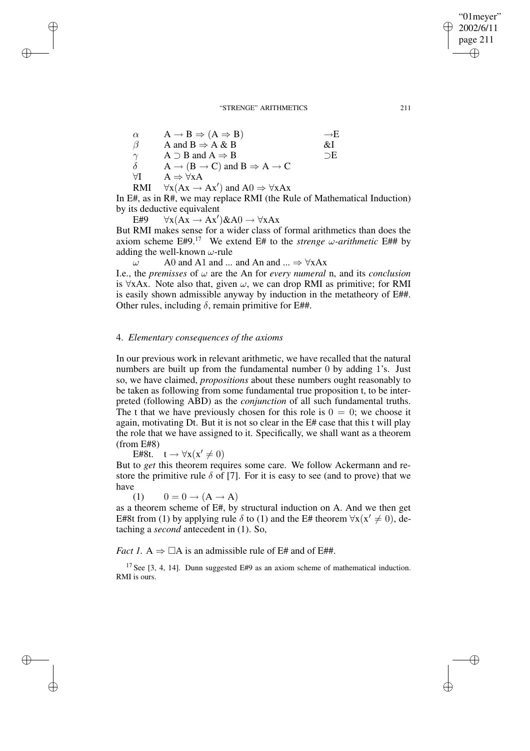| $\alpha$ | $A \rightarrow B \Rightarrow (A \Rightarrow B)$                       | $\rightarrow$ H |
|----------|-----------------------------------------------------------------------|-----------------|
| $\beta$  | A and $B \Rightarrow A \& B$                                          | &I              |
| $\gamma$ | $A \supset B$ and $A \Rightarrow B$                                   | $\neg E$        |
| δ        | $A \rightarrow (B \rightarrow C)$ and $B \Rightarrow A \rightarrow C$ |                 |
| AI       | $A \Rightarrow \forall x A$                                           |                 |
| RMI      | $\forall x (Ax \rightarrow Ax')$ and $A0 \Rightarrow \forall x Ax$    |                 |

In E#, as in R#, we may replace RMI (the Rule of Mathematical Induction) by its deductive equivalent

 $E#9 \quad \forall x (Ax \rightarrow Ax') \& A0 \rightarrow \forall x Ax$ 

✐

✐

✐

✐

But RMI makes sense for a wider class of formal arithmetics than does the axiom scheme E#9.<sup>17</sup> We extend E# to the *strenge*  $\omega$ -*arithmetic* E## by adding the well-known  $\omega$ -rule

 $\omega$  A0 and A1 and ... and An and ...  $\Rightarrow$   $\forall$ xAx

I.e., the *premisses* of  $\omega$  are the An for *every numeral* n, and its *conclusion* is ∀xAx. Note also that, given  $\omega$ , we can drop RMI as primitive; for RMI is easily shown admissible anyway by induction in the metatheory of E##. Other rules, including  $\delta$ , remain primitive for E##.

## 4. *Elementary consequences of the axioms*

In our previous work in relevant arithmetic, we have recalled that the natural numbers are built up from the fundamental number 0 by adding 1's. Just so, we have claimed, *propositions* about these numbers ought reasonably to be taken as following from some fundamental true proposition t, to be interpreted (following ABD) as the *conjunction* of all such fundamental truths. The t that we have previously chosen for this role is  $0 = 0$ ; we choose it again, motivating Dt. But it is not so clear in the E# case that this t will play the role that we have assigned to it. Specifically, we shall want as a theorem (from E#8)

E#8t.  $t \to \forall x (x' \neq 0)$ 

But to *get* this theorem requires some care. We follow Ackermann and restore the primitive rule  $\delta$  of [7]. For it is easy to see (and to prove) that we have

(1)  $0 = 0 \rightarrow (A \rightarrow A)$ 

as a theorem scheme of E#, by structural induction on A. And we then get E#8t from (1) by applying rule  $\delta$  to (1) and the E# theorem  $\forall x(x' \neq 0)$ , detaching a *second* antecedent in (1). So,

*Fact* 1. A  $\Rightarrow$   $\Box$ A is an admissible rule of E# and of E##.

<sup>17</sup> See [3, 4, 14]. Dunn suggested E#9 as an axiom scheme of mathematical induction. RMI is ours.

"01meyer" 2002/6/11 page 211

✐

✐

✐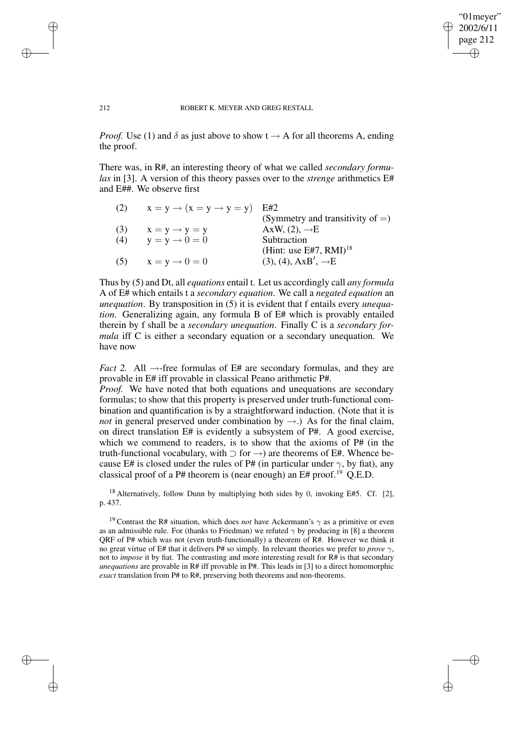### "01meyer" 2002/6/11 page 212 ✐ ✐

✐

✐

#### 212 ROBERT K. MEYER AND GREG RESTALL

✐

✐

✐

✐

*Proof.* Use (1) and  $\delta$  as just above to show  $t \rightarrow A$  for all theorems A, ending the proof.

There was, in R#, an interesting theory of what we called *secondary formulas* in [3]. A version of this theory passes over to the *strenge* arithmetics E# and E##. We observe first

| (2) | $x = y \rightarrow (x = y \rightarrow y = y)$ E#2 |                                       |
|-----|---------------------------------------------------|---------------------------------------|
|     |                                                   | (Symmetry and transitivity of $=$ )   |
| (3) | $x = y \rightarrow y = y$                         | AxW, $(2)$ , $\rightarrow$ E          |
| (4) | $y = y \rightarrow 0 = 0$                         | Subtraction                           |
|     |                                                   | (Hint: use E#7, $RMI$ ) <sup>18</sup> |
| (5) | $x = y \rightarrow 0 = 0$                         | $(3), (4), AxB', \rightarrow E$       |

Thus by (5) and Dt, all *equations* entail t. Let us accordingly call *any formula* A of E# which entails t a *secondary equation*. We call a *negated equation* an *unequation*. By transposition in (5) it is evident that f entails every *unequation*. Generalizing again, any formula B of E# which is provably entailed therein by f shall be a *secondary unequation*. Finally C is a *secondary formula* iff C is either a secondary equation or a secondary unequation. We have now

*Fact* 2. All  $\rightarrow$ -free formulas of E# are secondary formulas, and they are provable in E# iff provable in classical Peano arithmetic P#.

*Proof.* We have noted that both equations and unequations are secondary formulas; to show that this property is preserved under truth-functional combination and quantification is by a straightforward induction. (Note that it is *not* in general preserved under combination by  $\rightarrow$ .) As for the final claim, on direct translation E# is evidently a subsystem of P#. A good exercise, which we commend to readers, is to show that the axioms of P# (in the truth-functional vocabulary, with  $\supset$  for  $\rightarrow$ ) are theorems of E#. Whence because E# is closed under the rules of P# (in particular under  $\gamma$ , by fiat), any classical proof of a P# theorem is (near enough) an E# proof.<sup>19</sup> O.E.D.

<sup>18</sup> Alternatively, follow Dunn by multiplying both sides by 0, invoking E#5. Cf. [2], p. 437.

<sup>19</sup> Contrast the R# situation, which does *not* have Ackermann's  $\gamma$  as a primitive or even as an admissible rule. For (thanks to Friedman) we refuted  $\gamma$  by producing in [8] a theorem QRF of P# which was not (even truth-functionally) a theorem of R#. However we think it no great virtue of E# that it delivers P# so simply. In relevant theories we prefer to *prove* γ, not to *impose* it by fiat. The contrasting and more interesting result for R# is that secondary *unequations* are provable in R# iff provable in P#. This leads in [3] to a direct homomorphic *exact* translation from P# to R#, preserving both theorems and non-theorems.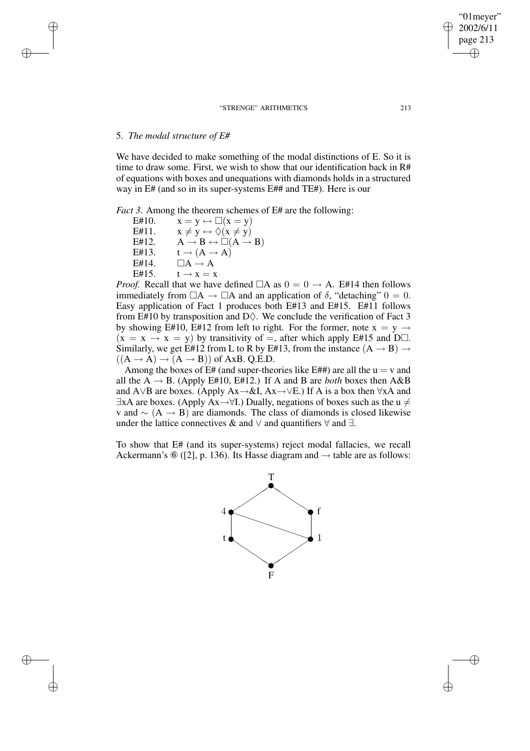# 5. *The modal structure of E#*

✐

✐

✐

✐

We have decided to make something of the modal distinctions of E. So it is time to draw some. First, we wish to show that our identification back in R# of equations with boxes and unequations with diamonds holds in a structured way in E# (and so in its super-systems E## and TE#). Here is our

*Fact 3.* Among the theorem schemes of E# are the following:

E#10.  $x = y \leftrightarrow \Box(x = y)$ E#11.  $x \neq y \leftrightarrow \Diamond(x \neq y)$ E#12.  $A \rightarrow B \leftrightarrow \Box(A \rightarrow B)$ E#13.  $t \rightarrow (A \rightarrow A)$ E#14.  $\Box A \rightarrow A$ E#15.  $t \rightarrow x = x$ 

*Proof.* Recall that we have defined  $\Box A$  as  $0 = 0 \rightarrow A$ . E#14 then follows immediately from  $\Box A \rightarrow \Box A$  and an application of  $\delta$ , "detaching"  $0 = 0$ . Easy application of Fact 1 produces both E#13 and E#15. E#11 follows from E#10 by transposition and D $\Diamond$ . We conclude the verification of Fact 3 by showing E#10, E#12 from left to right. For the former, note  $x = y \rightarrow$  $(x = x \rightarrow x = y)$  by transitivity of =, after which apply E#15 and D $\Box$ . Similarly, we get E#12 from L to R by E#13, from the instance  $(A \rightarrow B) \rightarrow$  $((A \rightarrow A) \rightarrow (A \rightarrow B))$  of AxB. Q.E.D.

Among the boxes of  $E#$  (and super-theories like  $E##$ ) are all the  $u = v$  and all the  $A \rightarrow B$ . (Apply E#10, E#12.) If A and B are *both* boxes then A&B and A∨B are boxes. (Apply Ax→&I, Ax→∨E.) If A is a box then ∀xA and  $\exists$ xA are boxes. (Apply Ax→ $\forall$ I.) Dually, negations of boxes such as the u  $\neq$ v and  $\sim$  (A → B) are diamonds. The class of diamonds is closed likewise under the lattice connectives & and  $\vee$  and quantifiers  $\forall$  and  $\exists$ .

To show that E# (and its super-systems) reject modal fallacies, we recall Ackermann's  $\mathcal{F}(2)$ , p. 136). Its Hasse diagram and  $\rightarrow$  table are as follows:



"01meyer" 2002/6/11 page 213

✐

✐

 $\bigoplus$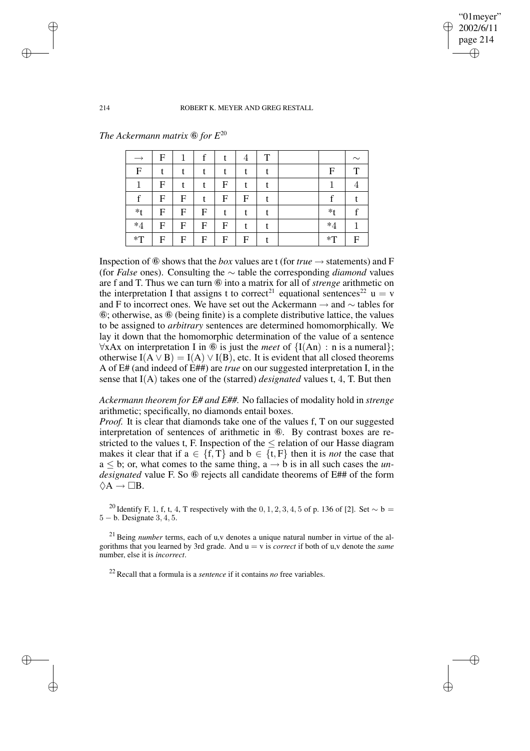"01meyer" 2002/6/11 page 214 ✐ ✐

✐

✐

#### 214 ROBERT K. MEYER AND GREG RESTALL

*The Ackermann matrix* ⑥ *for E* 20

|             | F |                           |   |   | 4 | T |          | $\sim$ |
|-------------|---|---------------------------|---|---|---|---|----------|--------|
| $\mathbf F$ |   |                           |   |   |   |   | F        | ᠇      |
|             | F | t                         |   | F |   |   |          |        |
| f           | F | $\boldsymbol{\mathrm{F}}$ |   | F | F |   | c        |        |
| $*_{t}$     | F | F                         | F |   |   |   | *t       |        |
| $*4$        | F | F                         | F | F |   |   | $\ast 4$ |        |
| $*T$        | F | F                         | F | F | F |   | $*T$     | F      |

Inspection of  $\circled{6}$  shows that the *box* values are t (for *true*  $\rightarrow$  statements) and F (for *False* ones). Consulting the ∼ table the corresponding *diamond* values are f and T. Thus we can turn ⑥ into a matrix for all of *strenge* arithmetic on the interpretation I that assigns t to correct<sup>21</sup> equational sentences<sup>22</sup> u = v and F to incorrect ones. We have set out the Ackermann → and ∼ tables for ⑥; otherwise, as ⑥ (being finite) is a complete distributive lattice, the values to be assigned to *arbitrary* sentences are determined homomorphically. We lay it down that the homomorphic determination of the value of a sentence ∀xAx on interpretation I in ⑥ is just the *meet* of {I(An) : n is a numeral}; otherwise  $I(A \vee B) = I(A) \vee I(B)$ , etc. It is evident that all closed theorems A of E# (and indeed of E##) are *true* on our suggested interpretation I, in the sense that I(A) takes one of the (starred) *designated* values t, 4, T. But then

*Ackermann theorem for E# and E##.* No fallacies of modality hold in *strenge* arithmetic; specifically, no diamonds entail boxes.

*Proof.* It is clear that diamonds take one of the values f, T on our suggested interpretation of sentences of arithmetic in ⑥. By contrast boxes are restricted to the values t, F. Inspection of the  $\leq$  relation of our Hasse diagram makes it clear that if  $a \in \{f, T\}$  and  $b \in \{t, F\}$  then it is *not* the case that  $a \leq b$ ; or, what comes to the same thing,  $a \rightarrow b$  is in all such cases the *undesignated* value F. So *C* rejects all candidate theorems of E## of the form  $\Diamond A \rightarrow \Box B$ .

<sup>20</sup> Identify F, 1, f, t, 4, T respectively with the 0, 1, 2, 3, 4, 5 of p. 136 of [2]. Set ∼ b = 5 − b. Designate 3, 4, 5.

<sup>21</sup> Being *number* terms, each of u,v denotes a unique natural number in virtue of the algorithms that you learned by 3rd grade. And u = v is *correct* if both of u,v denote the *same* number, else it is *incorrect*.

<sup>22</sup> Recall that a formula is a *sentence* if it contains *no* free variables.

✐

✐

✐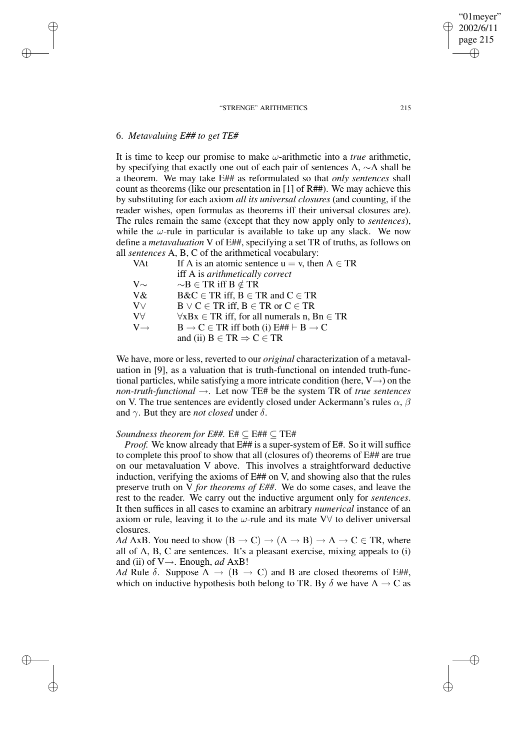## 6. *Metavaluing E## to get TE#*

✐

✐

✐

✐

It is time to keep our promise to make  $\omega$ -arithmetic into a *true* arithmetic, by specifying that exactly one out of each pair of sentences A, ∼A shall be a theorem. We may take E## as reformulated so that *only sentences* shall count as theorems (like our presentation in [1] of R##). We may achieve this by substituting for each axiom *all its universal closures* (and counting, if the reader wishes, open formulas as theorems iff their universal closures are). The rules remain the same (except that they now apply only to *sentences*), while the  $\omega$ -rule in particular is available to take up any slack. We now define a *metavaluation* V of E##, specifying a set TR of truths, as follows on all *sentences* A, B, C of the arithmetical vocabulary:

| VAt                 | If A is an atomic sentence $u = v$ , then $A \in TR$       |
|---------------------|------------------------------------------------------------|
|                     | iff A is arithmetically correct                            |
| $\rm V\mathord\sim$ | $\sim$ B $\in$ TR iff B $\notin$ TR                        |
| V&                  | $B\&C \in TR$ iff, $B \in TR$ and $C \in TR$               |
| $\rm V\vee$         | $B \vee C \in TR$ iff, $B \in TR$ or $C \in TR$            |
| $V\forall$          | $\forall x Bx \in TR$ iff, for all numerals n, Bn $\in TR$ |
| $V \rightarrow$     | $B \to C \in TR$ iff both (i) $E#H \vdash B \to C$         |
|                     | and (ii) $B \in TR \Rightarrow C \in TR$                   |

We have, more or less, reverted to our *original* characterization of a metavaluation in [9], as a valuation that is truth-functional on intended truth-functional particles, while satisfying a more intricate condition (here,  $V \rightarrow$ ) on the *non-truth-functional* →. Let now TE# be the system TR of *true sentences* on V. The true sentences are evidently closed under Ackermann's rules  $\alpha$ ,  $\beta$ and  $\gamma$ . But they are *not closed* under  $\delta$ .

### *Soundness theorem for E##.* E# ⊆ E## ⊆ TE#

*Proof.* We know already that E## is a super-system of E#. So it will suffice to complete this proof to show that all (closures of) theorems of E## are true on our metavaluation V above. This involves a straightforward deductive induction, verifying the axioms of E## on V, and showing also that the rules preserve truth on V *for theorems of E##*. We do some cases, and leave the rest to the reader. We carry out the inductive argument only for *sentences*. It then suffices in all cases to examine an arbitrary *numerical* instance of an axiom or rule, leaving it to the  $\omega$ -rule and its mate V $\forall$  to deliver universal closures.

*Ad* AxB. You need to show  $(B \to C) \to (A \to B) \to A \to C \in TR$ , where all of A, B, C are sentences. It's a pleasant exercise, mixing appeals to (i) and (ii) of  $V \rightarrow$ . Enough, *ad* AxB!

*Ad* Rule  $\delta$ . Suppose A  $\rightarrow$  (B  $\rightarrow$  C) and B are closed theorems of E##, which on inductive hypothesis both belong to TR. By  $\delta$  we have A  $\rightarrow$  C as

"01meyer" 2002/6/11 page 215

✐

✐

✐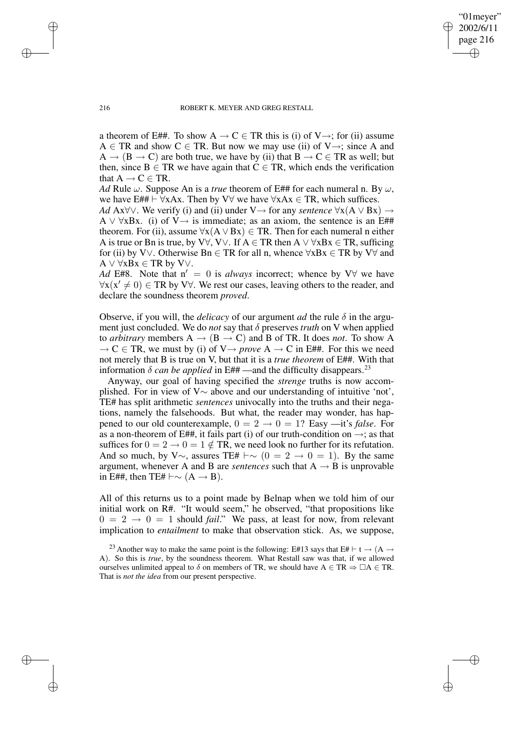"01meyer" 2002/6/11 page 216 ✐ ✐

✐

✐

#### 216 ROBERT K. MEYER AND GREG RESTALL

a theorem of E##. To show  $A \to C \in TR$  this is (i) of V $\to$ ; for (ii) assume  $A \in \text{TR}$  and show  $C \in \text{TR}$ . But now we may use (ii) of V $\rightarrow$ ; since A and  $A \rightarrow (B \rightarrow C)$  are both true, we have by (ii) that  $B \rightarrow C \in TR$  as well; but then, since  $B \in TR$  we have again that  $C \in TR$ , which ends the verification that  $A \rightarrow C \in TR$ .

*Ad* Rule  $\omega$ . Suppose An is a *true* theorem of E## for each numeral n. By  $\omega$ , we have E##  $\vdash \forall xAx$ . Then by V $\forall$  we have  $\forall xAx \in TR$ , which suffices.

*Ad* Ax∀∨. We verify (i) and (ii) under V→ for any *sentence* ∀x(A ∨ Bx) → A  $\vee \forall x Bx$ . (i) of V $\rightarrow$  is immediate; as an axiom, the sentence is an E## theorem. For (ii), assume  $\forall x(A \lor Bx) \in TR$ . Then for each numeral n either A is true or Bn is true, by V $\forall$ , V $\lor$ . If A  $\in$  TR then A  $\lor \forall$ xBx  $\in$  TR, sufficing for (ii) by V∨. Otherwise Bn  $\in$  TR for all n, whence  $\forall$ xBx  $\in$  TR by V $\forall$  and  $A \vee \forall x Bx \in TR$  by V $\vee$ .

*Ad* E#8. Note that  $n' = 0$  is *always* incorrect; whence by V $\forall$  we have  $\forall x (x' \neq 0) \in \text{TR}$  by V $\forall$ . We rest our cases, leaving others to the reader, and declare the soundness theorem *proved*.

Observe, if you will, the *delicacy* of our argument *ad* the rule  $\delta$  in the argument just concluded. We do *not* say that δ preserves *truth* on V when applied to *arbitrary* members  $A \rightarrow (B \rightarrow C)$  and B of TR. It does *not*. To show A  $\rightarrow$  C  $\in$  TR, we must by (i) of V $\rightarrow$  *prove* A  $\rightarrow$  C in E##. For this we need not merely that B is true on V, but that it is a *true theorem* of E##. With that information  $\delta$  *can be applied* in E## —and the difficulty disappears.<sup>23</sup>

Anyway, our goal of having specified the *strenge* truths is now accomplished. For in view of V∼ above and our understanding of intuitive 'not', TE# has split arithmetic *sentences* univocally into the truths and their negations, namely the falsehoods. But what, the reader may wonder, has happened to our old counterexample,  $0 = 2 \rightarrow 0 = 1$ ? Easy —it's *false*. For as a non-theorem of E##, it fails part (i) of our truth-condition on  $\rightarrow$ ; as that suffices for  $0 = 2 \rightarrow 0 = 1 \notin TR$ , we need look no further for its refutation. And so much, by V $\sim$ , assures TE#  $\vdash \sim (0 = 2 \rightarrow 0 = 1)$ . By the same argument, whenever A and B are *sentences* such that  $A \rightarrow B$  is unprovable in E##, then TE#  $\vdash \sim (A \rightarrow B)$ .

All of this returns us to a point made by Belnap when we told him of our initial work on R#. "It would seem," he observed, "that propositions like  $0 = 2 \rightarrow 0 = 1$  should *fail*." We pass, at least for now, from relevant implication to *entailment* to make that observation stick. As, we suppose,

✐

✐

✐

<sup>&</sup>lt;sup>23</sup> Another way to make the same point is the following: E#13 says that E#  $\vdash t \rightarrow (A \rightarrow$ A). So this is *true*, by the soundness theorem. What Restall saw was that, if we allowed ourselves unlimited appeal to  $\delta$  on members of TR, we should have A  $\in$  TR  $\Rightarrow$   $\Box A \in$  TR. That is *not the idea* from our present perspective.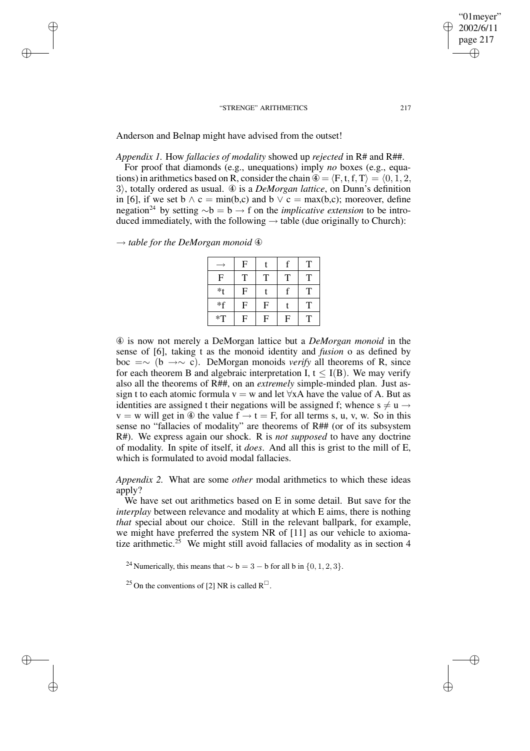Anderson and Belnap might have advised from the outset!

*Appendix 1.* How *fallacies of modality* showed up *rejected* in R# and R##.

For proof that diamonds (e.g., unequations) imply *no* boxes (e.g., equations) in arithmetics based on R, consider the chain  $\mathcal{D} = \langle F, t, f, T \rangle = \langle 0, 1, 2, \rangle$ 3), totally ordered as usual. 4 is a *DeMorgan lattice*, on Dunn's definition in [6], if we set  $b \wedge c = \min(b,c)$  and  $b \vee c = \max(b,c)$ ; moreover, define negation<sup>24</sup> by setting  $\sim b = b \rightarrow f$  on the *implicative extension* to be introduced immediately, with the following  $\rightarrow$  table (due originally to Church):

→ *table for the DeMorgan monoid* ④

✐

✐

✐

✐

|                | ${\bf F}$ |                           | f              | T |
|----------------|-----------|---------------------------|----------------|---|
| F              | T         | T                         | T              | T |
| *t             | F         |                           | f              | T |
| $*$ f          | ${\bf F}$ | $\boldsymbol{\mathrm{F}}$ |                | T |
| $\mathbf{F}^*$ | F         | F                         | $\overline{F}$ | T |

④ is now not merely a DeMorgan lattice but a *DeMorgan monoid* in the sense of [6], taking t as the monoid identity and *fusion* o as defined by boc =∼ (b →∼ c). DeMorgan monoids *verify* all theorems of R, since for each theorem B and algebraic interpretation I,  $t \leq I(B)$ . We may verify also all the theorems of R##, on an *extremely* simple-minded plan. Just assign t to each atomic formula  $v = w$  and let  $\forall x A$  have the value of A. But as identities are assigned t their negations will be assigned f; whence  $s \neq u \rightarrow$  $v = w$  will get in  $\circledA$  the value  $f \rightarrow t = F$ , for all terms s, u, v, w. So in this sense no "fallacies of modality" are theorems of R## (or of its subsystem R#). We express again our shock. R is *not supposed* to have any doctrine of modality. In spite of itself, it *does*. And all this is grist to the mill of E, which is formulated to avoid modal fallacies.

*Appendix 2.* What are some *other* modal arithmetics to which these ideas apply?

We have set out arithmetics based on E in some detail. But save for the *interplay* between relevance and modality at which E aims, there is nothing *that* special about our choice. Still in the relevant ballpark, for example, we might have preferred the system NR of [11] as our vehicle to axiomatize arithmetic.<sup>25</sup> We might still avoid fallacies of modality as in section 4

<sup>24</sup> Numerically, this means that  $\sim$  b = 3 − b for all b in {0, 1, 2, 3}.

<sup>25</sup> On the conventions of [2] NR is called  $R^{\Box}$ .

"01meyer" 2002/6/11 page 217

✐

✐

✐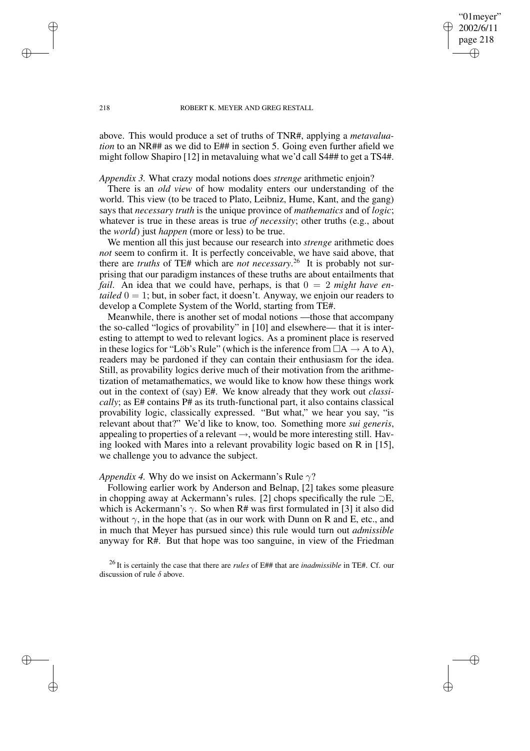"01meyer" 2002/6/11 page 218

✐

✐

✐

✐

above. This would produce a set of truths of TNR#, applying a *metavaluation* to an NR## as we did to E## in section 5. Going even further afield we might follow Shapiro [12] in metavaluing what we'd call S4## to get a TS4#.

*Appendix 3.* What crazy modal notions does *strenge* arithmetic enjoin?

There is an *old view* of how modality enters our understanding of the world. This view (to be traced to Plato, Leibniz, Hume, Kant, and the gang) says that *necessary truth* is the unique province of *mathematics* and of *logic*; whatever is true in these areas is true *of necessity*; other truths (e.g., about the *world*) just *happen* (more or less) to be true.

We mention all this just because our research into *strenge* arithmetic does *not* seem to confirm it. It is perfectly conceivable, we have said above, that there are *truths* of TE# which are *not necessary*. <sup>26</sup> It is probably not surprising that our paradigm instances of these truths are about entailments that *fail.* An idea that we could have, perhaps, is that  $0 = 2$  *might have entailed*  $0 = 1$ ; but, in sober fact, it doesn't. Anyway, we enjoin our readers to develop a Complete System of the World, starting from TE#.

Meanwhile, there is another set of modal notions —those that accompany the so-called "logics of provability" in [10] and elsewhere— that it is interesting to attempt to wed to relevant logics. As a prominent place is reserved in these logics for "Löb's Rule" (which is the inference from  $\Box A \rightarrow A$  to A), readers may be pardoned if they can contain their enthusiasm for the idea. Still, as provability logics derive much of their motivation from the arithmetization of metamathematics, we would like to know how these things work out in the context of (say) E#. We know already that they work out *classically*; as E# contains P# as its truth-functional part, it also contains classical provability logic, classically expressed. "But what," we hear you say, "is relevant about that?" We'd like to know, too. Something more *sui generis*, appealing to properties of a relevant  $\rightarrow$ , would be more interesting still. Having looked with Mares into a relevant provability logic based on R in [15], we challenge you to advance the subject.

### *Appendix* 4. Why do we insist on Ackermann's Rule  $\gamma$ ?

Following earlier work by Anderson and Belnap, [2] takes some pleasure in chopping away at Ackermann's rules. [2] chops specifically the rule ⊃E, which is Ackermann's  $\gamma$ . So when R# was first formulated in [3] it also did without  $\gamma$ , in the hope that (as in our work with Dunn on R and E, etc., and in much that Meyer has pursued since) this rule would turn out *admissible* anyway for R#. But that hope was too sanguine, in view of the Friedman

<sup>26</sup> It is certainly the case that there are *rules* of E## that are *inadmissible* in TE#. Cf. our discussion of rule  $\delta$  above.

✐

✐

✐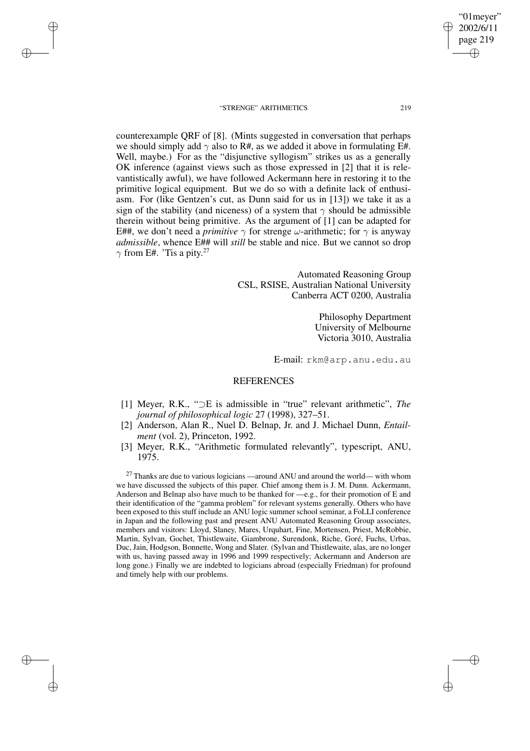✐

✐

✐

✐

2002/6/11 page 219 ✐ ✐

✐

✐

"01meyer"

counterexample QRF of [8]. (Mints suggested in conversation that perhaps we should simply add  $\gamma$  also to R#, as we added it above in formulating E#. Well, maybe.) For as the "disjunctive syllogism" strikes us as a generally OK inference (against views such as those expressed in [2] that it is relevantistically awful), we have followed Ackermann here in restoring it to the primitive logical equipment. But we do so with a definite lack of enthusiasm. For (like Gentzen's cut, as Dunn said for us in [13]) we take it as a sign of the stability (and niceness) of a system that  $\gamma$  should be admissible therein without being primitive. As the argument of [1] can be adapted for E##, we don't need a *primitive*  $\gamma$  for strenge  $\omega$ -arithmetic; for  $\gamma$  is anyway *admissible*, whence E## will *still* be stable and nice. But we cannot so drop  $\gamma$  from E#. 'Tis a pity.<sup>27</sup>

> Automated Reasoning Group CSL, RSISE, Australian National University Canberra ACT 0200, Australia

> > Philosophy Department University of Melbourne Victoria 3010, Australia

E-mail: rkm@arp.anu.edu.au

## **REFERENCES**

- [1] Meyer, R.K., "⊃E is admissible in "true" relevant arithmetic", *The journal of philosophical logic* 27 (1998), 327–51.
- [2] Anderson, Alan R., Nuel D. Belnap, Jr. and J. Michael Dunn, *Entailment* (vol. 2), Princeton, 1992.
- [3] Meyer, R.K., "Arithmetic formulated relevantly", typescript, ANU, 1975.

 $27$  Thanks are due to various logicians —around ANU and around the world— with whom we have discussed the subjects of this paper. Chief among them is J. M. Dunn. Ackermann, Anderson and Belnap also have much to be thanked for —e.g., for their promotion of E and their identification of the "gamma problem" for relevant systems generally. Others who have been exposed to this stuff include an ANU logic summer school seminar, a FoLLI conference in Japan and the following past and present ANU Automated Reasoning Group associates, members and visitors: Lloyd, Slaney, Mares, Urquhart, Fine, Mortensen, Priest, McRobbie, Martin, Sylvan, Gochet, Thistlewaite, Giambrone, Surendonk, Riche, Goré, Fuchs, Urbas, Duc, Jain, Hodgson, Bonnette, Wong and Slater. (Sylvan and Thistlewaite, alas, are no longer with us, having passed away in 1996 and 1999 respectively; Ackermann and Anderson are long gone.) Finally we are indebted to logicians abroad (especially Friedman) for profound and timely help with our problems.